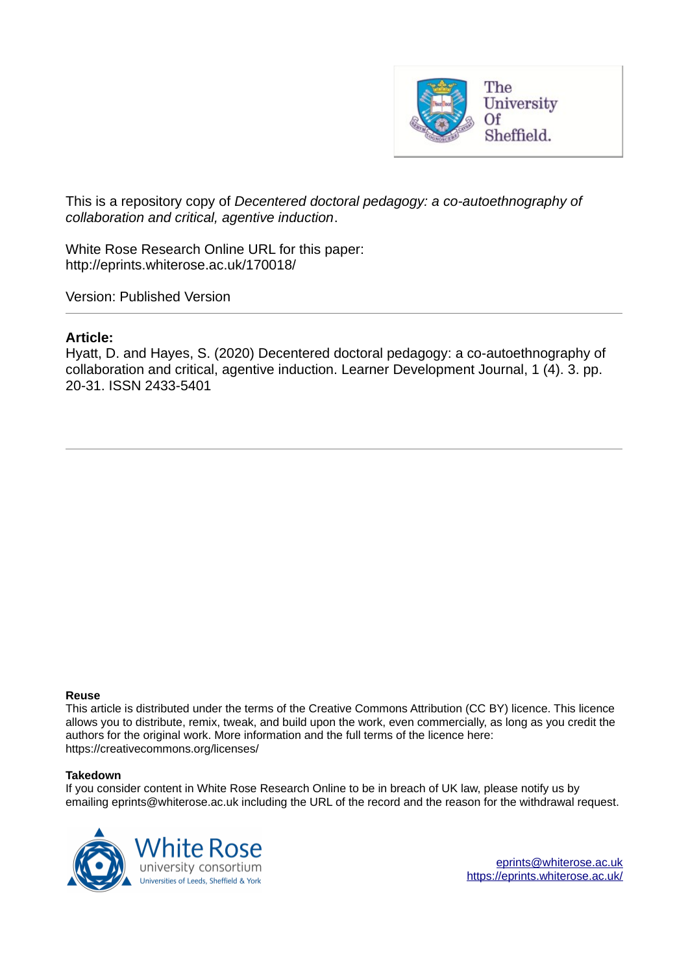

This is a repository copy of *Decentered doctoral pedagogy: a co-autoethnography of collaboration and critical, agentive induction*.

White Rose Research Online URL for this paper: http://eprints.whiterose.ac.uk/170018/

Version: Published Version

#### **Article:**

Hyatt, D. and Hayes, S. (2020) Decentered doctoral pedagogy: a co-autoethnography of collaboration and critical, agentive induction. Learner Development Journal, 1 (4). 3. pp. 20-31. ISSN 2433-5401

#### **Reuse**

This article is distributed under the terms of the Creative Commons Attribution (CC BY) licence. This licence allows you to distribute, remix, tweak, and build upon the work, even commercially, as long as you credit the authors for the original work. More information and the full terms of the licence here: https://creativecommons.org/licenses/

#### **Takedown**

If you consider content in White Rose Research Online to be in breach of UK law, please notify us by emailing eprints@whiterose.ac.uk including the URL of the record and the reason for the withdrawal request.



eprints@whiterose.ac.uk https://eprints.whiterose.ac.uk/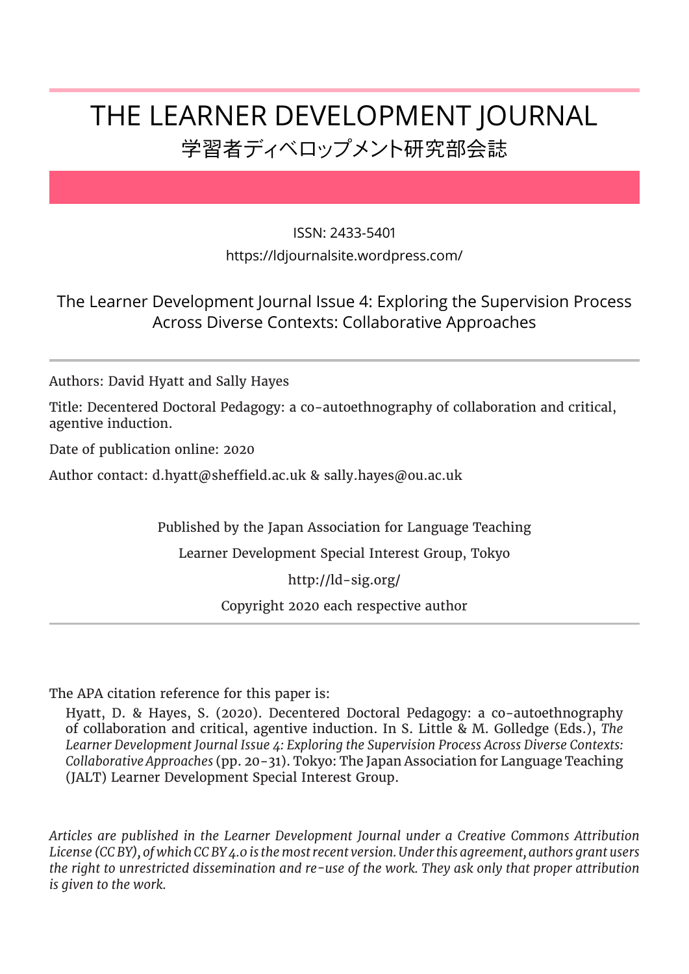# THE LEARNER DEVELOPMENT JOURNAL 学習者ディベロップメント研究部会誌

#### ISSN: 2433-5401

https://ldjournalsite.wordpress.com/

## The Learner Development Journal Issue 4: Exploring the Supervision Process Across Diverse Contexts: Collaborative Approaches

Authors: David Hyatt and Sally Hayes

Title: Decentered Doctoral Pedagogy: a co-autoethnography of collaboration and critical, agentive induction.

Date of publication online: 2020

Author contact: d.hyatt@sheffield.ac.uk & sally.hayes@ou.ac.uk

Published by the Japan Association for Language Teaching

Learner Development Special Interest Group, Tokyo

http://ld-sig.org/

Copyright 2020 each respective author

The APA citation reference for this paper is:

Hyatt, D. & Hayes, S. (2020). Decentered Doctoral Pedagogy: a co-autoethnography of collaboration and critical, agentive induction. In S. Little & M. Golledge (Eds.), *The Learner Development Journal Issue 4: Exploring the Supervision Process Across Diverse Contexts: Collaborative Approaches* (pp. 20-31). Tokyo: The Japan Association for Language Teaching (JALT) Learner Development Special Interest Group.

*Articles are published in the Learner Development Journal under a Creative Commons Attribution License (CC BY), of which CC BY 4.0 is the most recent version. Under this agreement, authors grant users the right to unrestricted dissemination and re-use of the work. They ask only that proper attribution is given to the work.*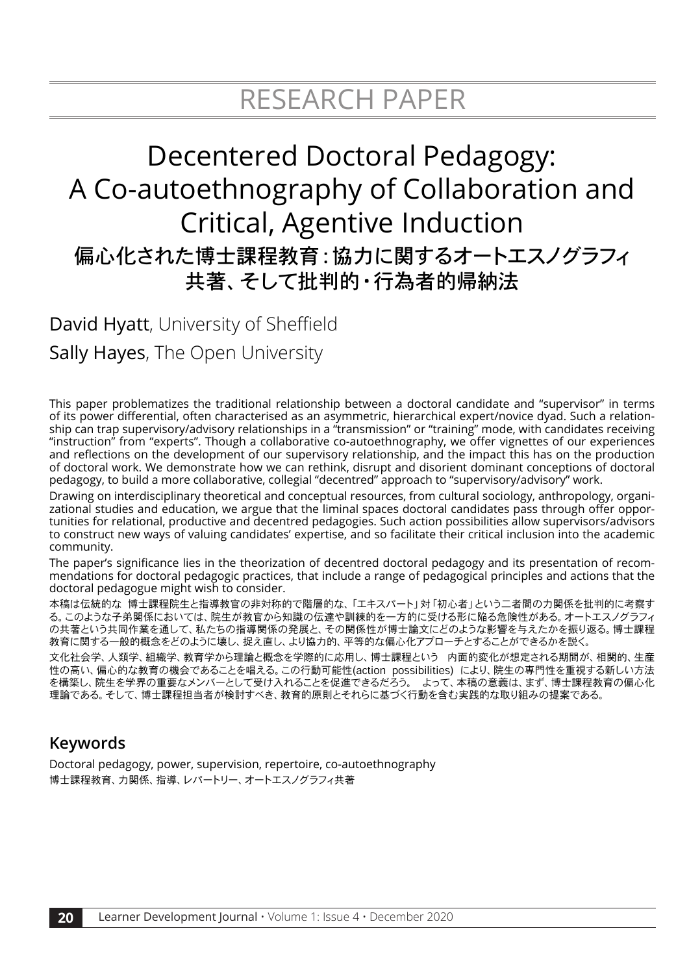# Decentered Doctoral Pedagogy: A Co-autoethnography of Collaboration and Critical, Agentive Induction 偏心化された博士課程教育:協力に関するオートエスノグラフィ 共著、そして批判的・行為者的帰納法

David Hyatt, University of Sheffield Sally Hayes, The Open University

This paper problematizes the traditional relationship between a doctoral candidate and "supervisor" in terms of its power differential, often characterised as an asymmetric, hierarchical expert/novice dyad. Such a relationship can trap supervisory/advisory relationships in a "transmission" or "training" mode, with candidates receiving "instruction" from "experts". Though a collaborative co-autoethnography, we offer vignettes of our experiences and reflections on the development of our supervisory relationship, and the impact this has on the production of doctoral work. We demonstrate how we can rethink, disrupt and disorient dominant conceptions of doctoral pedagogy, to build a more collaborative, collegial "decentred" approach to "supervisory/advisory" work.

Drawing on interdisciplinary theoretical and conceptual resources, from cultural sociology, anthropology, organizational studies and education, we argue that the liminal spaces doctoral candidates pass through offer opportunities for relational, productive and decentred pedagogies. Such action possibilities allow supervisors/advisors to construct new ways of valuing candidates' expertise, and so facilitate their critical inclusion into the academic community.

The paper's significance lies in the theorization of decentred doctoral pedagogy and its presentation of recommendations for doctoral pedagogic practices, that include a range of pedagogical principles and actions that the doctoral pedagogue might wish to consider.

本稿は伝統的な 博士課程院生と指導教官の非対称的で階層的な、「エキスパート」対「初心者」という二者間の力関係を批判的に考察す る。このような子弟関係においては、院生が教官から知識の伝達や訓練的を一方的に受ける形に陥る危険性がある。オートエスノグラフィ の共著という共同作業を通して、私たちの指導関係の発展と、その関係性が博士論文にどのような影響を与えたかを振り返る。博士課程 教育に関する一般的概念をどのように壊し、捉え直し、より協力的、平等的な偏心化アプローチとすることができるかを説く。

文化社会学、人類学、組織学、教育学から理論と概念を学際的に応用し、博士課程という 内面的変化が想定される期間が、相関的、生産 性の高い、偏心的な教育の機会であることを唱える。この行動可能性(action possibilities) により、院生の専門性を重視する新しい方法 を構築し、院生を学界の重要なメンバーとして受け入れることを促進できるだろう。 よって、本稿の意義は、まず、博士課程教育の偏心化 理論である。そして、博士課程担当者が検討すべき、教育的原則とそれらに基づく行動を含む実践的な取り組みの提案である。

# **Keywords**

Doctoral pedagogy, power, supervision, repertoire, co-autoethnography 博士課程教育、力関係、指導、レパートリー、オートエスノグラフィ共著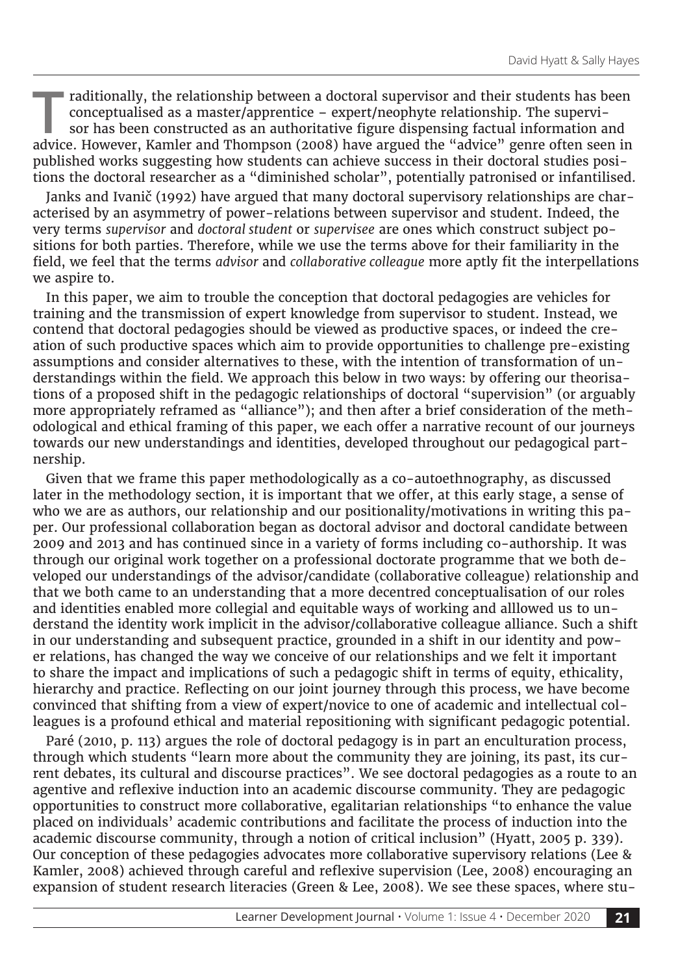Traditionally, the relationship between a doctoral supervisor and their students has been conceptualised as a master/apprentice – expert/neophyte relationship. The supervisor has been constructed as an authoritative figure raditionally, the relationship between a doctoral supervisor and their students has been conceptualised as a master/apprentice – expert/neophyte relationship. The supervisor has been constructed as an authoritative figure dispensing factual information and published works suggesting how students can achieve success in their doctoral studies positions the doctoral researcher as a "diminished scholar", potentially patronised or infantilised.

Janks and Ivanič (1992) have argued that many doctoral supervisory relationships are characterised by an asymmetry of power-relations between supervisor and student. Indeed, the very terms *supervisor* and *doctoral student* or *supervisee* are ones which construct subject positions for both parties. Therefore, while we use the terms above for their familiarity in the field, we feel that the terms *advisor* and *collaborative colleague* more aptly fit the interpellations we aspire to.

In this paper, we aim to trouble the conception that doctoral pedagogies are vehicles for training and the transmission of expert knowledge from supervisor to student. Instead, we contend that doctoral pedagogies should be viewed as productive spaces, or indeed the creation of such productive spaces which aim to provide opportunities to challenge pre-existing assumptions and consider alternatives to these, with the intention of transformation of understandings within the field. We approach this below in two ways: by offering our theorisations of a proposed shift in the pedagogic relationships of doctoral "supervision" (or arguably more appropriately reframed as "alliance"); and then after a brief consideration of the methodological and ethical framing of this paper, we each offer a narrative recount of our journeys towards our new understandings and identities, developed throughout our pedagogical partnership.

Given that we frame this paper methodologically as a co-autoethnography, as discussed later in the methodology section, it is important that we offer, at this early stage, a sense of who we are as authors, our relationship and our positionality/motivations in writing this paper. Our professional collaboration began as doctoral advisor and doctoral candidate between 2009 and 2013 and has continued since in a variety of forms including co-authorship. It was through our original work together on a professional doctorate programme that we both developed our understandings of the advisor/candidate (collaborative colleague) relationship and that we both came to an understanding that a more decentred conceptualisation of our roles and identities enabled more collegial and equitable ways of working and alllowed us to understand the identity work implicit in the advisor/collaborative colleague alliance. Such a shift in our understanding and subsequent practice, grounded in a shift in our identity and power relations, has changed the way we conceive of our relationships and we felt it important to share the impact and implications of such a pedagogic shift in terms of equity, ethicality, hierarchy and practice. Reflecting on our joint journey through this process, we have become convinced that shifting from a view of expert/novice to one of academic and intellectual colleagues is a profound ethical and material repositioning with significant pedagogic potential.

Paré (2010, p. 113) argues the role of doctoral pedagogy is in part an enculturation process, through which students "learn more about the community they are joining, its past, its current debates, its cultural and discourse practices". We see doctoral pedagogies as a route to an agentive and reflexive induction into an academic discourse community. They are pedagogic opportunities to construct more collaborative, egalitarian relationships "to enhance the value placed on individuals' academic contributions and facilitate the process of induction into the academic discourse community, through a notion of critical inclusion" (Hyatt, 2005 p. 339). Our conception of these pedagogies advocates more collaborative supervisory relations (Lee & Kamler, 2008) achieved through careful and reflexive supervision (Lee, 2008) encouraging an expansion of student research literacies (Green & Lee, 2008). We see these spaces, where stu-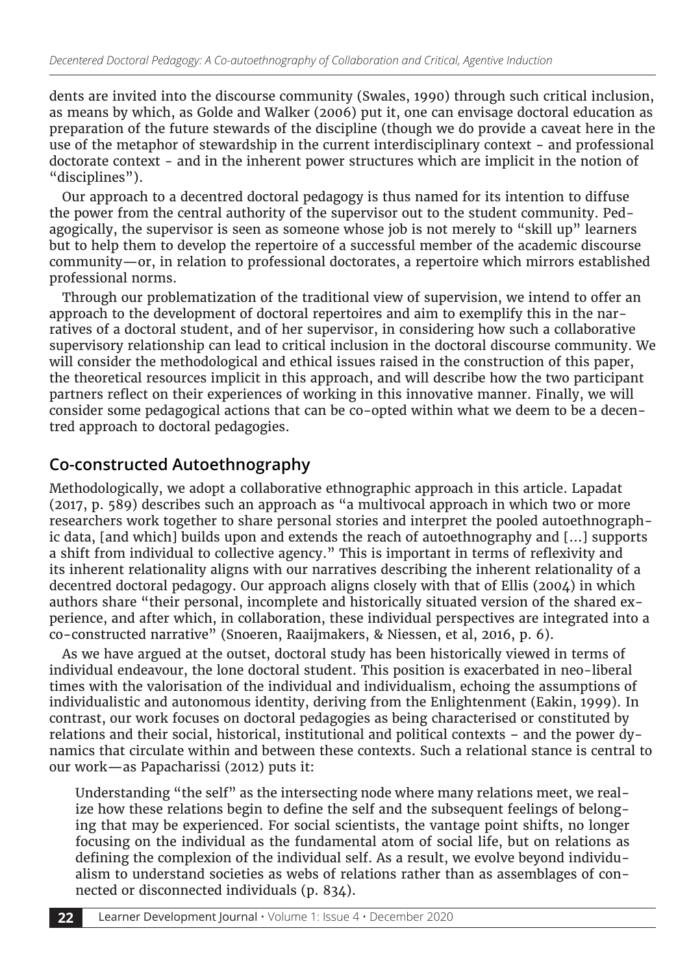dents are invited into the discourse community (Swales, 1990) through such critical inclusion, as means by which, as Golde and Walker (2006) put it, one can envisage doctoral education as preparation of the future stewards of the discipline (though we do provide a caveat here in the use of the metaphor of stewardship in the current interdisciplinary context - and professional doctorate context - and in the inherent power structures which are implicit in the notion of "disciplines").

Our approach to a decentred doctoral pedagogy is thus named for its intention to diffuse the power from the central authority of the supervisor out to the student community. Pedagogically, the supervisor is seen as someone whose job is not merely to "skill up" learners but to help them to develop the repertoire of a successful member of the academic discourse community—or, in relation to professional doctorates, a repertoire which mirrors established professional norms.

Through our problematization of the traditional view of supervision, we intend to offer an approach to the development of doctoral repertoires and aim to exemplify this in the narratives of a doctoral student, and of her supervisor, in considering how such a collaborative supervisory relationship can lead to critical inclusion in the doctoral discourse community. We will consider the methodological and ethical issues raised in the construction of this paper, the theoretical resources implicit in this approach, and will describe how the two participant partners reflect on their experiences of working in this innovative manner. Finally, we will consider some pedagogical actions that can be co-opted within what we deem to be a decentred approach to doctoral pedagogies.

## **Co-constructed Autoethnography**

Methodologically, we adopt a collaborative ethnographic approach in this article. Lapadat (2017, p. 589) describes such an approach as "a multivocal approach in which two or more researchers work together to share personal stories and interpret the pooled autoethnographic data, [and which] builds upon and extends the reach of autoethnography and [...] supports a shift from individual to collective agency." This is important in terms of reflexivity and its inherent relationality aligns with our narratives describing the inherent relationality of a decentred doctoral pedagogy. Our approach aligns closely with that of Ellis (2004) in which authors share "their personal, incomplete and historically situated version of the shared experience, and after which, in collaboration, these individual perspectives are integrated into a co-constructed narrative" (Snoeren, Raaijmakers, & Niessen, et al, 2016, p. 6).

As we have argued at the outset, doctoral study has been historically viewed in terms of individual endeavour, the lone doctoral student. This position is exacerbated in neo-liberal times with the valorisation of the individual and individualism, echoing the assumptions of individualistic and autonomous identity, deriving from the Enlightenment (Eakin, 1999). In contrast, our work focuses on doctoral pedagogies as being characterised or constituted by relations and their social, historical, institutional and political contexts – and the power dynamics that circulate within and between these contexts. Such a relational stance is central to our work—as Papacharissi (2012) puts it:

Understanding "the self" as the intersecting node where many relations meet, we realize how these relations begin to define the self and the subsequent feelings of belonging that may be experienced. For social scientists, the vantage point shifts, no longer focusing on the individual as the fundamental atom of social life, but on relations as defining the complexion of the individual self. As a result, we evolve beyond individualism to understand societies as webs of relations rather than as assemblages of connected or disconnected individuals (p. 834).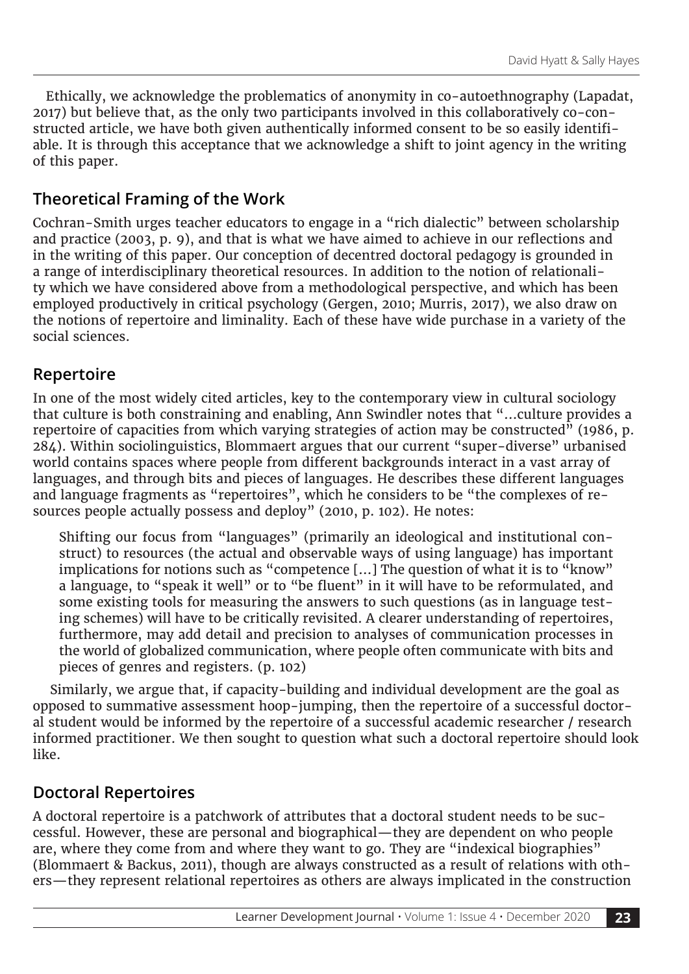Ethically, we acknowledge the problematics of anonymity in co-autoethnography (Lapadat, 2017) but believe that, as the only two participants involved in this collaboratively co-constructed article, we have both given authentically informed consent to be so easily identifiable. It is through this acceptance that we acknowledge a shift to joint agency in the writing of this paper.

## **Theoretical Framing of the Work**

Cochran-Smith urges teacher educators to engage in a "rich dialectic" between scholarship and practice (2003, p. 9), and that is what we have aimed to achieve in our reflections and in the writing of this paper. Our conception of decentred doctoral pedagogy is grounded in a range of interdisciplinary theoretical resources. In addition to the notion of relationality which we have considered above from a methodological perspective, and which has been employed productively in critical psychology (Gergen, 2010; Murris, 2017), we also draw on the notions of repertoire and liminality. Each of these have wide purchase in a variety of the social sciences.

## **Repertoire**

In one of the most widely cited articles, key to the contemporary view in cultural sociology that culture is both constraining and enabling, Ann Swindler notes that "…culture provides a repertoire of capacities from which varying strategies of action may be constructed" (1986, p. 284). Within sociolinguistics, Blommaert argues that our current "super-diverse" urbanised world contains spaces where people from different backgrounds interact in a vast array of languages, and through bits and pieces of languages. He describes these different languages and language fragments as "repertoires", which he considers to be "the complexes of resources people actually possess and deploy" (2010, p. 102). He notes:

Shifting our focus from "languages" (primarily an ideological and institutional construct) to resources (the actual and observable ways of using language) has important implications for notions such as "competence […] The question of what it is to "know" a language, to "speak it well" or to "be fluent" in it will have to be reformulated, and some existing tools for measuring the answers to such questions (as in language testing schemes) will have to be critically revisited. A clearer understanding of repertoires, furthermore, may add detail and precision to analyses of communication processes in the world of globalized communication, where people often communicate with bits and pieces of genres and registers. (p. 102)

 Similarly, we argue that, if capacity-building and individual development are the goal as opposed to summative assessment hoop-jumping, then the repertoire of a successful doctoral student would be informed by the repertoire of a successful academic researcher / research informed practitioner. We then sought to question what such a doctoral repertoire should look like.

## **Doctoral Repertoires**

A doctoral repertoire is a patchwork of attributes that a doctoral student needs to be successful. However, these are personal and biographical—they are dependent on who people are, where they come from and where they want to go. They are "indexical biographies" (Blommaert & Backus, 2011), though are always constructed as a result of relations with others—they represent relational repertoires as others are always implicated in the construction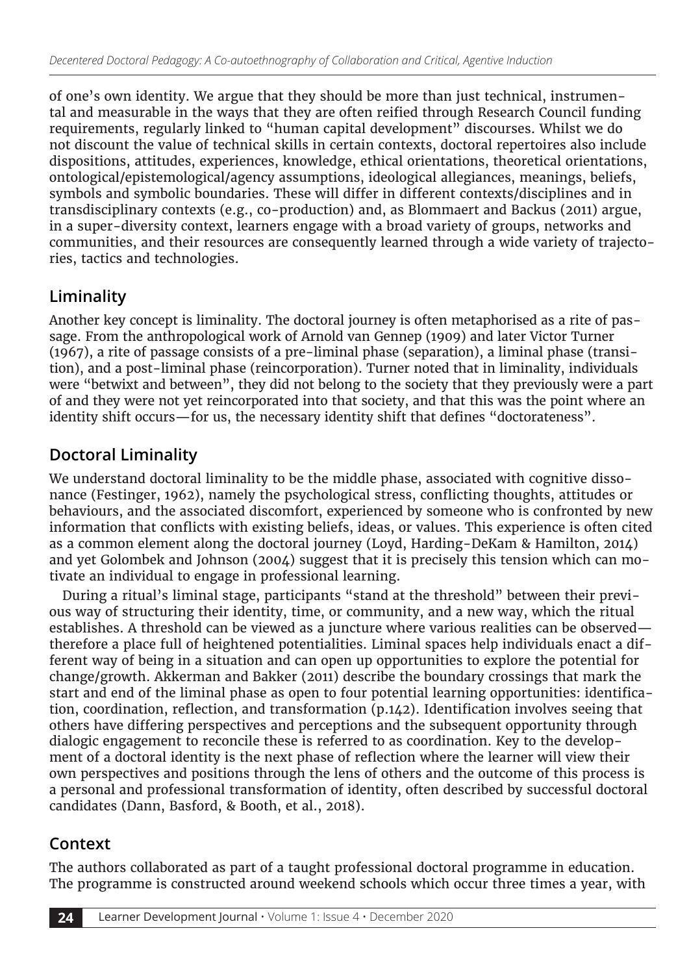of one's own identity. We argue that they should be more than just technical, instrumental and measurable in the ways that they are often reified through Research Council funding requirements, regularly linked to "human capital development" discourses. Whilst we do not discount the value of technical skills in certain contexts, doctoral repertoires also include dispositions, attitudes, experiences, knowledge, ethical orientations, theoretical orientations, ontological/epistemological/agency assumptions, ideological allegiances, meanings, beliefs, symbols and symbolic boundaries. These will differ in different contexts/disciplines and in transdisciplinary contexts (e.g., co-production) and, as Blommaert and Backus (2011) argue, in a super-diversity context, learners engage with a broad variety of groups, networks and communities, and their resources are consequently learned through a wide variety of trajectories, tactics and technologies.

# **Liminality**

Another key concept is liminality. The doctoral journey is often metaphorised as a rite of passage. From the anthropological work of Arnold van Gennep (1909) and later Victor Turner (1967), a rite of passage consists of a pre-liminal phase (separation), a liminal phase (transition), and a post-liminal phase (reincorporation). Turner noted that in liminality, individuals were "betwixt and between", they did not belong to the society that they previously were a part of and they were not yet reincorporated into that society, and that this was the point where an identity shift occurs—for us, the necessary identity shift that defines "doctorateness".

# **Doctoral Liminality**

We understand doctoral liminality to be the middle phase, associated with cognitive dissonance (Festinger, 1962), namely the psychological stress, conflicting thoughts, attitudes or behaviours, and the associated discomfort, experienced by someone who is confronted by new information that conflicts with existing beliefs, ideas, or values. This experience is often cited as a common element along the doctoral journey (Loyd, Harding-DeKam & Hamilton, 2014) and yet Golombek and Johnson (2004) suggest that it is precisely this tension which can motivate an individual to engage in professional learning.

During a ritual's liminal stage, participants "stand at the threshold" between their previous way of structuring their identity, time, or community, and a new way, which the ritual establishes. A threshold can be viewed as a juncture where various realities can be observed therefore a place full of heightened potentialities. Liminal spaces help individuals enact a different way of being in a situation and can open up opportunities to explore the potential for change/growth. Akkerman and Bakker (2011) describe the boundary crossings that mark the start and end of the liminal phase as open to four potential learning opportunities: identification, coordination, reflection, and transformation (p.142). Identification involves seeing that others have differing perspectives and perceptions and the subsequent opportunity through dialogic engagement to reconcile these is referred to as coordination. Key to the development of a doctoral identity is the next phase of reflection where the learner will view their own perspectives and positions through the lens of others and the outcome of this process is a personal and professional transformation of identity, often described by successful doctoral candidates (Dann, Basford, & Booth, et al., 2018).

## **Context**

The authors collaborated as part of a taught professional doctoral programme in education. The programme is constructed around weekend schools which occur three times a year, with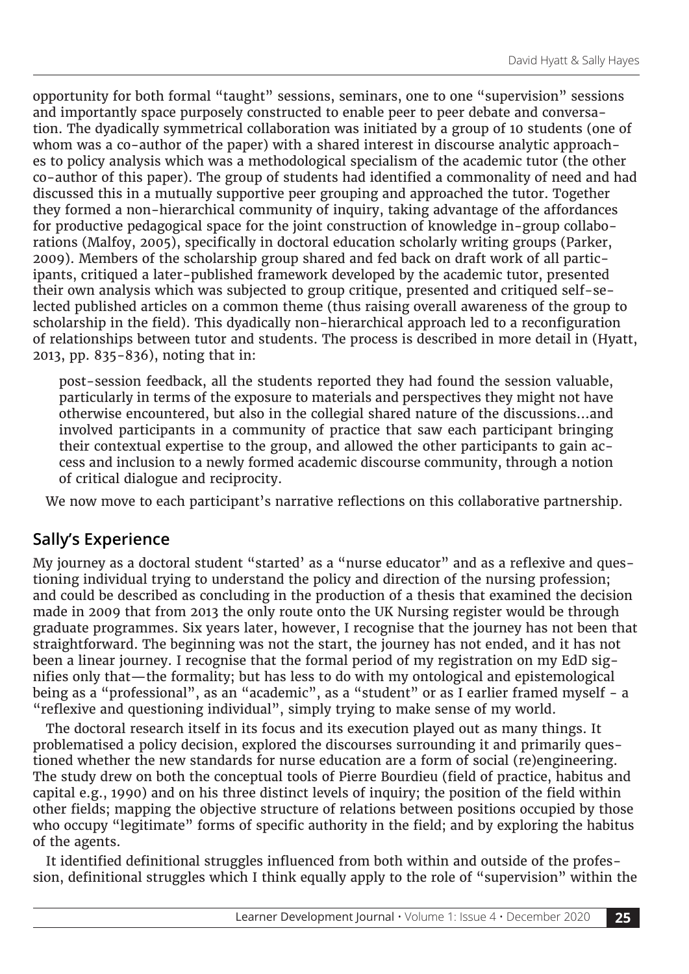opportunity for both formal "taught" sessions, seminars, one to one "supervision" sessions and importantly space purposely constructed to enable peer to peer debate and conversation. The dyadically symmetrical collaboration was initiated by a group of 10 students (one of whom was a co-author of the paper) with a shared interest in discourse analytic approaches to policy analysis which was a methodological specialism of the academic tutor (the other co-author of this paper). The group of students had identified a commonality of need and had discussed this in a mutually supportive peer grouping and approached the tutor. Together they formed a non-hierarchical community of inquiry, taking advantage of the affordances for productive pedagogical space for the joint construction of knowledge in-group collaborations (Malfoy, 2005), specifically in doctoral education scholarly writing groups (Parker, 2009). Members of the scholarship group shared and fed back on draft work of all participants, critiqued a later-published framework developed by the academic tutor, presented their own analysis which was subjected to group critique, presented and critiqued self-selected published articles on a common theme (thus raising overall awareness of the group to scholarship in the field). This dyadically non-hierarchical approach led to a reconfiguration of relationships between tutor and students. The process is described in more detail in (Hyatt, 2013, pp. 835-836), noting that in:

post-session feedback, all the students reported they had found the session valuable, particularly in terms of the exposure to materials and perspectives they might not have otherwise encountered, but also in the collegial shared nature of the discussions…and involved participants in a community of practice that saw each participant bringing their contextual expertise to the group, and allowed the other participants to gain access and inclusion to a newly formed academic discourse community, through a notion of critical dialogue and reciprocity.

We now move to each participant's narrative reflections on this collaborative partnership.

## **Sally's Experience**

My journey as a doctoral student "started' as a "nurse educator" and as a reflexive and questioning individual trying to understand the policy and direction of the nursing profession; and could be described as concluding in the production of a thesis that examined the decision made in 2009 that from 2013 the only route onto the UK Nursing register would be through graduate programmes. Six years later, however, I recognise that the journey has not been that straightforward. The beginning was not the start, the journey has not ended, and it has not been a linear journey. I recognise that the formal period of my registration on my EdD signifies only that—the formality; but has less to do with my ontological and epistemological being as a "professional", as an "academic", as a "student" or as I earlier framed myself - a "reflexive and questioning individual", simply trying to make sense of my world.

The doctoral research itself in its focus and its execution played out as many things. It problematised a policy decision, explored the discourses surrounding it and primarily questioned whether the new standards for nurse education are a form of social (re)engineering. The study drew on both the conceptual tools of Pierre Bourdieu (field of practice, habitus and capital e.g., 1990) and on his three distinct levels of inquiry; the position of the field within other fields; mapping the objective structure of relations between positions occupied by those who occupy "legitimate" forms of specific authority in the field; and by exploring the habitus of the agents.

It identified definitional struggles influenced from both within and outside of the profession, definitional struggles which I think equally apply to the role of "supervision" within the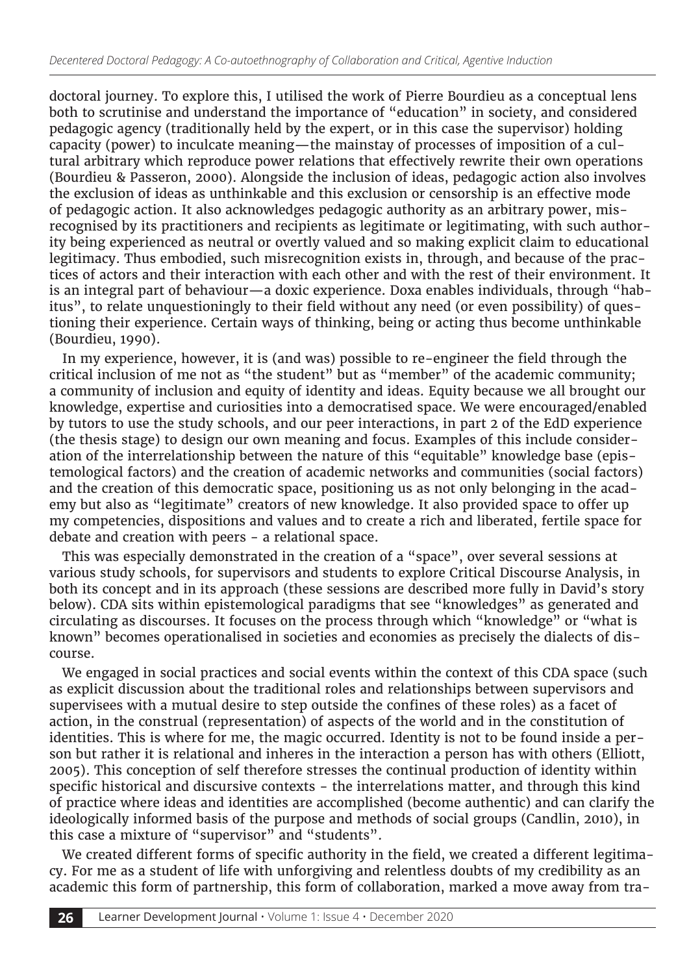doctoral journey. To explore this, I utilised the work of Pierre Bourdieu as a conceptual lens both to scrutinise and understand the importance of "education" in society, and considered pedagogic agency (traditionally held by the expert, or in this case the supervisor) holding capacity (power) to inculcate meaning—the mainstay of processes of imposition of a cultural arbitrary which reproduce power relations that effectively rewrite their own operations (Bourdieu & Passeron, 2000). Alongside the inclusion of ideas, pedagogic action also involves the exclusion of ideas as unthinkable and this exclusion or censorship is an effective mode of pedagogic action. It also acknowledges pedagogic authority as an arbitrary power, misrecognised by its practitioners and recipients as legitimate or legitimating, with such authority being experienced as neutral or overtly valued and so making explicit claim to educational legitimacy. Thus embodied, such misrecognition exists in, through, and because of the practices of actors and their interaction with each other and with the rest of their environment. It is an integral part of behaviour—a doxic experience. Doxa enables individuals, through "habitus", to relate unquestioningly to their field without any need (or even possibility) of questioning their experience. Certain ways of thinking, being or acting thus become unthinkable (Bourdieu, 1990).

In my experience, however, it is (and was) possible to re-engineer the field through the critical inclusion of me not as "the student" but as "member" of the academic community; a community of inclusion and equity of identity and ideas. Equity because we all brought our knowledge, expertise and curiosities into a democratised space. We were encouraged/enabled by tutors to use the study schools, and our peer interactions, in part 2 of the EdD experience (the thesis stage) to design our own meaning and focus. Examples of this include consideration of the interrelationship between the nature of this "equitable" knowledge base (epistemological factors) and the creation of academic networks and communities (social factors) and the creation of this democratic space, positioning us as not only belonging in the academy but also as "legitimate" creators of new knowledge. It also provided space to offer up my competencies, dispositions and values and to create a rich and liberated, fertile space for debate and creation with peers - a relational space.

This was especially demonstrated in the creation of a "space", over several sessions at various study schools, for supervisors and students to explore Critical Discourse Analysis, in both its concept and in its approach (these sessions are described more fully in David's story below). CDA sits within epistemological paradigms that see "knowledges" as generated and circulating as discourses. It focuses on the process through which "knowledge" or "what is known" becomes operationalised in societies and economies as precisely the dialects of discourse.

We engaged in social practices and social events within the context of this CDA space (such as explicit discussion about the traditional roles and relationships between supervisors and supervisees with a mutual desire to step outside the confines of these roles) as a facet of action, in the construal (representation) of aspects of the world and in the constitution of identities. This is where for me, the magic occurred. Identity is not to be found inside a person but rather it is relational and inheres in the interaction a person has with others (Elliott, 2005). This conception of self therefore stresses the continual production of identity within specific historical and discursive contexts - the interrelations matter, and through this kind of practice where ideas and identities are accomplished (become authentic) and can clarify the ideologically informed basis of the purpose and methods of social groups (Candlin, 2010), in this case a mixture of "supervisor" and "students".

We created different forms of specific authority in the field, we created a different legitimacy. For me as a student of life with unforgiving and relentless doubts of my credibility as an academic this form of partnership, this form of collaboration, marked a move away from tra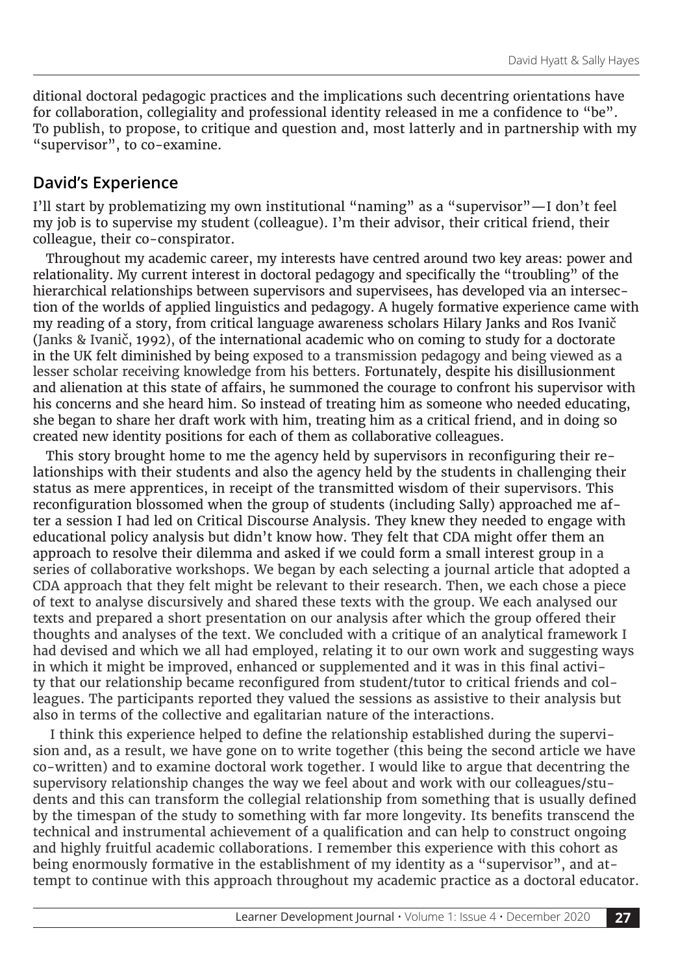ditional doctoral pedagogic practices and the implications such decentring orientations have for collaboration, collegiality and professional identity released in me a confidence to "be". To publish, to propose, to critique and question and, most latterly and in partnership with my "supervisor", to co-examine.

#### **David's Experience**

I'll start by problematizing my own institutional "naming" as a "supervisor"—I don't feel my job is to supervise my student (colleague). I'm their advisor, their critical friend, their colleague, their co-conspirator.

Throughout my academic career, my interests have centred around two key areas: power and relationality. My current interest in doctoral pedagogy and specifically the "troubling" of the hierarchical relationships between supervisors and supervisees, has developed via an intersection of the worlds of applied linguistics and pedagogy. A hugely formative experience came with my reading of a story, from critical language awareness scholars Hilary Janks and Ros Ivanič (Janks & Ivanič, 1992), of the international academic who on coming to study for a doctorate in the UK felt diminished by being exposed to a transmission pedagogy and being viewed as a lesser scholar receiving knowledge from his betters. Fortunately, despite his disillusionment and alienation at this state of affairs, he summoned the courage to confront his supervisor with his concerns and she heard him. So instead of treating him as someone who needed educating, she began to share her draft work with him, treating him as a critical friend, and in doing so created new identity positions for each of them as collaborative colleagues.

This story brought home to me the agency held by supervisors in reconfiguring their relationships with their students and also the agency held by the students in challenging their status as mere apprentices, in receipt of the transmitted wisdom of their supervisors. This reconfiguration blossomed when the group of students (including Sally) approached me after a session I had led on Critical Discourse Analysis. They knew they needed to engage with educational policy analysis but didn't know how. They felt that CDA might offer them an approach to resolve their dilemma and asked if we could form a small interest group in a series of collaborative workshops. We began by each selecting a journal article that adopted a CDA approach that they felt might be relevant to their research. Then, we each chose a piece of text to analyse discursively and shared these texts with the group. We each analysed our texts and prepared a short presentation on our analysis after which the group offered their thoughts and analyses of the text. We concluded with a critique of an analytical framework I had devised and which we all had employed, relating it to our own work and suggesting ways in which it might be improved, enhanced or supplemented and it was in this final activity that our relationship became reconfigured from student/tutor to critical friends and colleagues. The participants reported they valued the sessions as assistive to their analysis but also in terms of the collective and egalitarian nature of the interactions.

 I think this experience helped to define the relationship established during the supervision and, as a result, we have gone on to write together (this being the second article we have co-written) and to examine doctoral work together. I would like to argue that decentring the supervisory relationship changes the way we feel about and work with our colleagues/students and this can transform the collegial relationship from something that is usually defined by the timespan of the study to something with far more longevity. Its benefits transcend the technical and instrumental achievement of a qualification and can help to construct ongoing and highly fruitful academic collaborations. I remember this experience with this cohort as being enormously formative in the establishment of my identity as a "supervisor", and attempt to continue with this approach throughout my academic practice as a doctoral educator.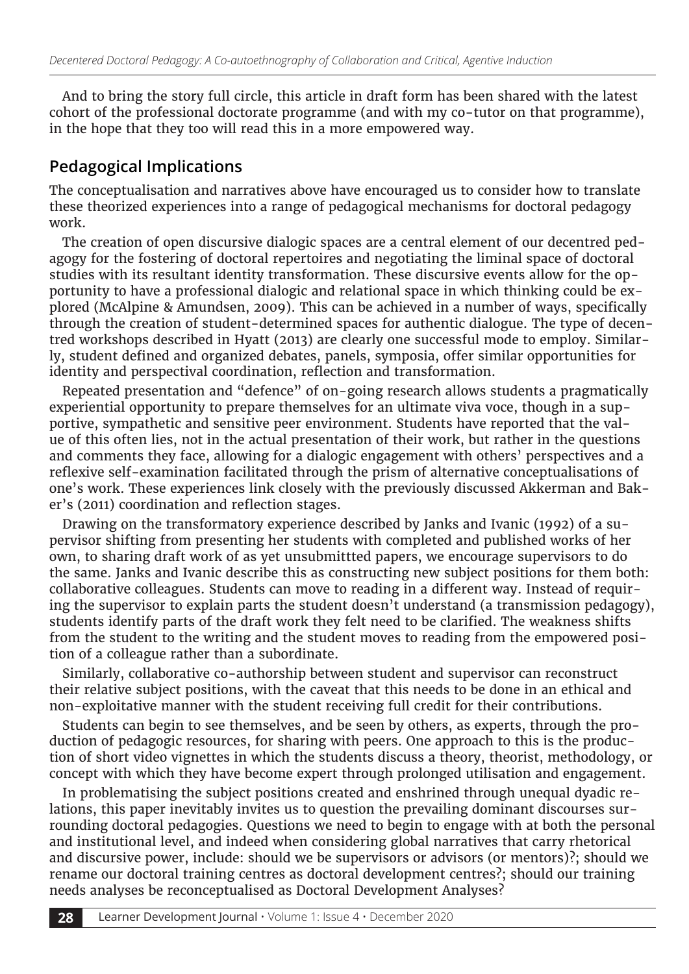And to bring the story full circle, this article in draft form has been shared with the latest cohort of the professional doctorate programme (and with my co-tutor on that programme), in the hope that they too will read this in a more empowered way.

#### **Pedagogical Implications**

The conceptualisation and narratives above have encouraged us to consider how to translate these theorized experiences into a range of pedagogical mechanisms for doctoral pedagogy work.

The creation of open discursive dialogic spaces are a central element of our decentred pedagogy for the fostering of doctoral repertoires and negotiating the liminal space of doctoral studies with its resultant identity transformation. These discursive events allow for the opportunity to have a professional dialogic and relational space in which thinking could be explored (McAlpine & Amundsen, 2009). This can be achieved in a number of ways, specifically through the creation of student-determined spaces for authentic dialogue. The type of decentred workshops described in Hyatt (2013) are clearly one successful mode to employ. Similarly, student defined and organized debates, panels, symposia, offer similar opportunities for identity and perspectival coordination, reflection and transformation.

Repeated presentation and "defence" of on-going research allows students a pragmatically experiential opportunity to prepare themselves for an ultimate viva voce, though in a supportive, sympathetic and sensitive peer environment. Students have reported that the value of this often lies, not in the actual presentation of their work, but rather in the questions and comments they face, allowing for a dialogic engagement with others' perspectives and a reflexive self-examination facilitated through the prism of alternative conceptualisations of one's work. These experiences link closely with the previously discussed Akkerman and Baker's (2011) coordination and reflection stages.

Drawing on the transformatory experience described by Janks and Ivanic (1992) of a supervisor shifting from presenting her students with completed and published works of her own, to sharing draft work of as yet unsubmittted papers, we encourage supervisors to do the same. Janks and Ivanic describe this as constructing new subject positions for them both: collaborative colleagues. Students can move to reading in a different way. Instead of requiring the supervisor to explain parts the student doesn't understand (a transmission pedagogy), students identify parts of the draft work they felt need to be clarified. The weakness shifts from the student to the writing and the student moves to reading from the empowered position of a colleague rather than a subordinate.

Similarly, collaborative co-authorship between student and supervisor can reconstruct their relative subject positions, with the caveat that this needs to be done in an ethical and non-exploitative manner with the student receiving full credit for their contributions.

Students can begin to see themselves, and be seen by others, as experts, through the production of pedagogic resources, for sharing with peers. One approach to this is the production of short video vignettes in which the students discuss a theory, theorist, methodology, or concept with which they have become expert through prolonged utilisation and engagement.

In problematising the subject positions created and enshrined through unequal dyadic relations, this paper inevitably invites us to question the prevailing dominant discourses surrounding doctoral pedagogies. Questions we need to begin to engage with at both the personal and institutional level, and indeed when considering global narratives that carry rhetorical and discursive power, include: should we be supervisors or advisors (or mentors)?; should we rename our doctoral training centres as doctoral development centres?; should our training needs analyses be reconceptualised as Doctoral Development Analyses?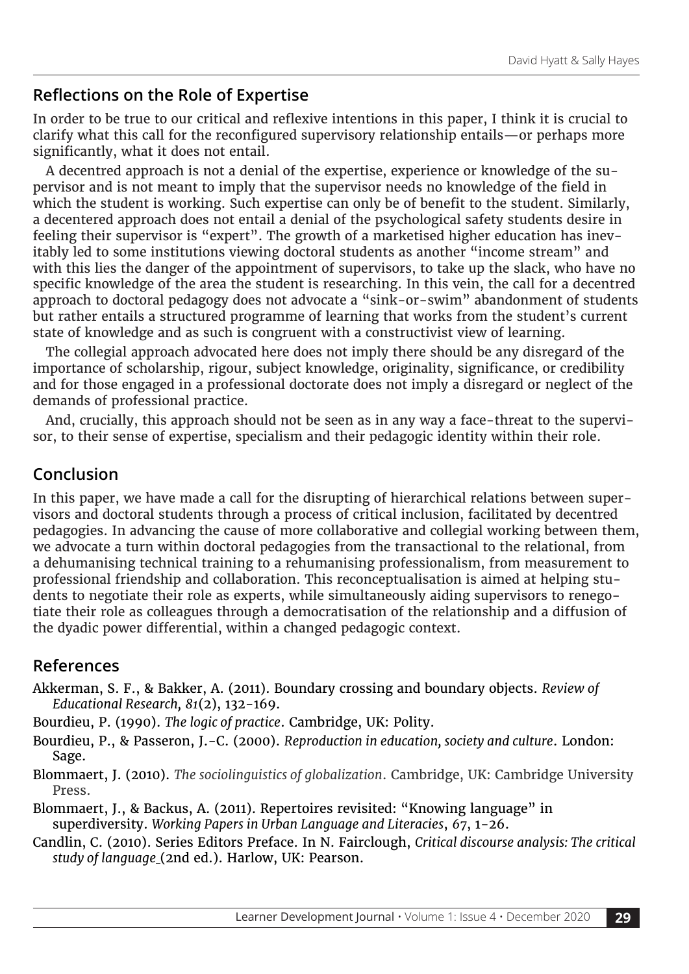## **Reflections on the Role of Expertise**

In order to be true to our critical and reflexive intentions in this paper, I think it is crucial to clarify what this call for the reconfigured supervisory relationship entails—or perhaps more significantly, what it does not entail.

A decentred approach is not a denial of the expertise, experience or knowledge of the supervisor and is not meant to imply that the supervisor needs no knowledge of the field in which the student is working. Such expertise can only be of benefit to the student. Similarly, a decentered approach does not entail a denial of the psychological safety students desire in feeling their supervisor is "expert". The growth of a marketised higher education has inevitably led to some institutions viewing doctoral students as another "income stream" and with this lies the danger of the appointment of supervisors, to take up the slack, who have no specific knowledge of the area the student is researching. In this vein, the call for a decentred approach to doctoral pedagogy does not advocate a "sink-or-swim" abandonment of students but rather entails a structured programme of learning that works from the student's current state of knowledge and as such is congruent with a constructivist view of learning.

The collegial approach advocated here does not imply there should be any disregard of the importance of scholarship, rigour, subject knowledge, originality, significance, or credibility and for those engaged in a professional doctorate does not imply a disregard or neglect of the demands of professional practice.

And, crucially, this approach should not be seen as in any way a face-threat to the supervisor, to their sense of expertise, specialism and their pedagogic identity within their role.

#### **Conclusion**

In this paper, we have made a call for the disrupting of hierarchical relations between supervisors and doctoral students through a process of critical inclusion, facilitated by decentred pedagogies. In advancing the cause of more collaborative and collegial working between them, we advocate a turn within doctoral pedagogies from the transactional to the relational, from a dehumanising technical training to a rehumanising professionalism, from measurement to professional friendship and collaboration. This reconceptualisation is aimed at helping students to negotiate their role as experts, while simultaneously aiding supervisors to renegotiate their role as colleagues through a democratisation of the relationship and a diffusion of the dyadic power differential, within a changed pedagogic context.

#### **References**

- Akkerman, S. F., & Bakker, A. (2011). Boundary crossing and boundary objects. *Review of Educational Research, 81*(2), 132-169.
- Bourdieu, P. (1990). *The logic of practice*. Cambridge, UK: Polity.
- Bourdieu, P., & Passeron, J.-C. (2000). *Reproduction in education, society and culture*. London: Sage.

Blommaert, J. (2010). *The sociolinguistics of globalization*. Cambridge, UK: Cambridge University Press.

- Blommaert, J., & Backus, A. (2011). Repertoires revisited: "Knowing language" in superdiversity. *Working Papers in Urban Language and Literacies*, *67*, 1-26.
- Candlin, C. (2010). Series Editors Preface. In N. Fairclough, *Critical discourse analysis: The critical study of language* (2nd ed.). Harlow, UK: Pearson.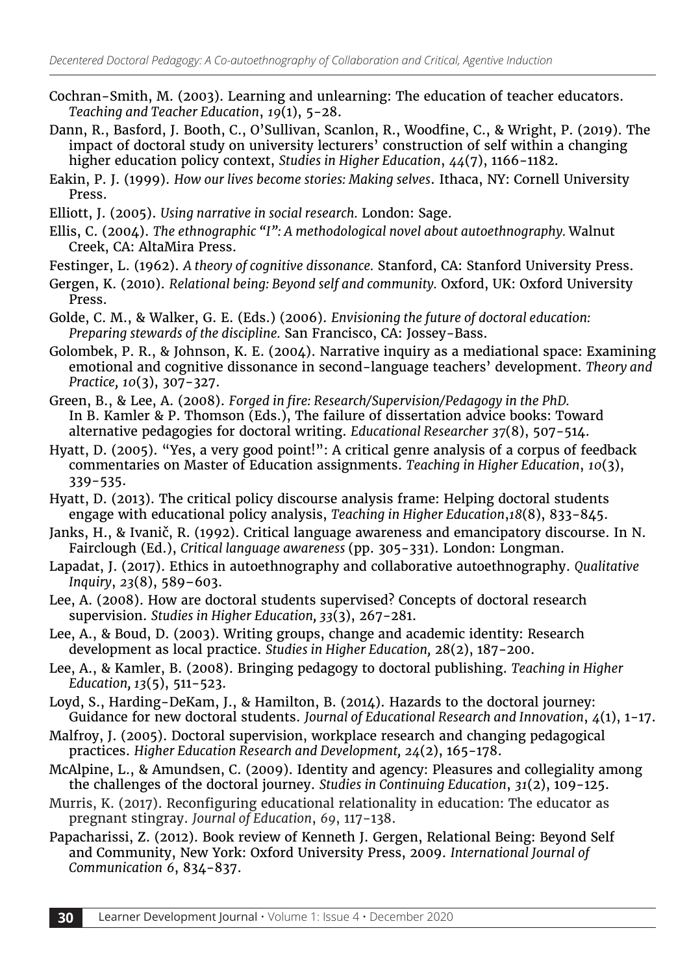- Cochran-Smith, M. (2003). Learning and unlearning: The education of teacher educators. *Teaching and Teacher Education*, *19*(1), 5-28.
- Dann, R., Basford, J. Booth, C., O'Sullivan, Scanlon, R., Woodfine, C., & Wright, P. (2019). The impact of doctoral study on university lecturers' construction of self within a changing higher education policy context, *Studies in Higher Education*, *44*(7), 1166-1182.
- Eakin, P. J. (1999). *How our lives become stories: Making selves*. Ithaca, NY: Cornell University Press.
- Elliott, J. (2005). *Using narrative in social research.* London: Sage.
- Ellis, C. (2004). *The ethnographic "I": A methodological novel about autoethnography.* Walnut Creek, CA: AltaMira Press.
- Festinger, L. (1962). *A theory of cognitive dissonance.* Stanford, CA: Stanford University Press.
- Gergen, K. (2010). *Relational being: Beyond self and community.* Oxford, UK: Oxford University Press.
- Golde, C. M., & Walker, G. E. (Eds.) (2006). *Envisioning the future of doctoral education: Preparing stewards of the discipline.* San Francisco, CA: Jossey-Bass.
- Golombek, P. R., & Johnson, K. E. (2004). Narrative inquiry as a mediational space: Examining emotional and cognitive dissonance in second-language teachers' development. *Theory and Practice, 10*(3), 307-327.
- Green, B., & Lee, A. (2008). *Forged in fire: Research/Supervision/Pedagogy in the PhD.* In B. Kamler & P. Thomson (Eds.), The failure of dissertation advice books: Toward alternative pedagogies for doctoral writing. *Educational Researcher 37*(8), 507-514.
- Hyatt, D. (2005). "Yes, a very good point!": A critical genre analysis of a corpus of feedback commentaries on Master of Education assignments. *Teaching in Higher Education*, *10*(3), 339-535.
- Hyatt, D. (2013). The critical policy discourse analysis frame: Helping doctoral students engage with educational policy analysis, *Teaching in Higher Education*,*18*(8), 833-845.
- Janks, H., & Ivanič, R. (1992). Critical language awareness and emancipatory discourse. In N. Fairclough (Ed.), *Critical language awareness* (pp. 305-331). London: Longman.
- Lapadat, J. (2017). Ethics in autoethnography and collaborative autoethnography. *Qualitative Inquiry*, *23*(8), 589–603.
- Lee, A. (2008). How are doctoral students supervised? Concepts of doctoral research supervision. *Studies in Higher Education, 33*(3), 267-281.
- Lee, A., & Boud, D. (2003). Writing groups, change and academic identity: Research development as local practice. *Studies in Higher Education,* 28(2), 187-200.
- Lee, A., & Kamler, B. (2008). Bringing pedagogy to doctoral publishing. *Teaching in Higher Education, 13*(5), 511-523.
- Loyd, S., Harding-DeKam, J., & Hamilton, B. (2014). Hazards to the doctoral journey: Guidance for new doctoral students. *Journal of Educational Research and Innovation*, *4*(1), 1-17.
- Malfroy, J. (2005). Doctoral supervision, workplace research and changing pedagogical practices. *Higher Education Research and Development, 24*(2), 165-178.
- McAlpine, L., & Amundsen, C. (2009). Identity and agency: Pleasures and collegiality among the challenges of the doctoral journey. *Studies in Continuing Education*, *31*(2), 109-125.
- Murris, K. (2017). Reconfiguring educational relationality in education: The educator as pregnant stingray. *Journal of Education*, *69*, 117-138.
- Papacharissi, Z. (2012). Book review of Kenneth J. Gergen, Relational Being: Beyond Self and Community, New York: Oxford University Press, 2009. *International Journal of Communication 6*, 834-837.